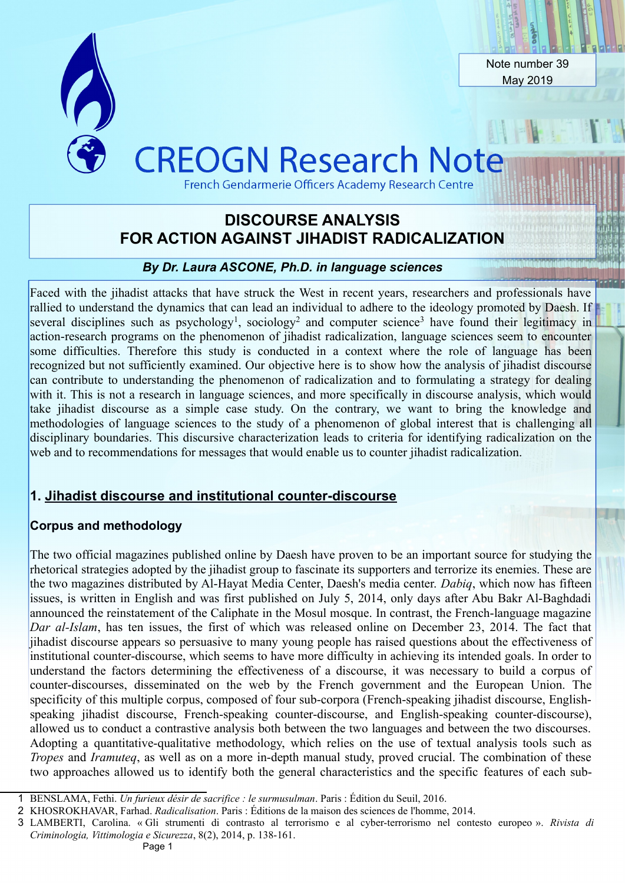

# FOR ACTION AGAINST JIHADIST RADICALIZATION **DISCOURSE ANALYSIS**

### *By Dr. Laura ASCONE, Ph.D. in language sciences*

Faced with the jihadist attacks that have struck the West in recent years, researchers and professionals have rallied to understand the dynamics that can lead an individual to adhere to the ideology promoted by Daesh. If several disciplines such as psychology<sup>[1](#page-0-0)</sup>, sociology<sup>[2](#page-0-1)</sup> and computer science<sup>[3](#page-0-2)</sup> have found their legitimacy in action-research programs on the phenomenon of jihadist radicalization, language sciences seem to encounter some difficulties. Therefore this study is conducted in a context where the role of language has been recognized but not sufficiently examined. Our objective here is to show how the analysis of jihadist discourse can contribute to understanding the phenomenon of radicalization and to formulating a strategy for dealing with it. This is not a research in language sciences, and more specifically in discourse analysis, which would take jihadist discourse as a simple case study. On the contrary, we want to bring the knowledge and methodologies of language sciences to the study of a phenomenon of global interest that is challenging all disciplinary boundaries. This discursive characterization leads to criteria for identifying radicalization on the web and to recommendations for messages that would enable us to counter jihadist radicalization.

### **1. Jihadist discourse and institutional counter-discourse**

### **Corpus and methodology**

The two official magazines published online by Daesh have proven to be an important source for studying the rhetorical strategies adopted by the jihadist group to fascinate its supporters and terrorize its enemies. These are the two magazines distributed by Al-Hayat Media Center, Daesh's media center. *Dabiq*, which now has fifteen issues, is written in English and was first published on July 5, 2014, only days after Abu Bakr Al-Baghdadi announced the reinstatement of the Caliphate in the Mosul mosque. In contrast, the French-language magazine *Dar al-Islam*, has ten issues, the first of which was released online on December 23, 2014. The fact that jihadist discourse appears so persuasive to many young people has raised questions about the effectiveness of institutional counter-discourse, which seems to have more difficulty in achieving its intended goals. In order to understand the factors determining the effectiveness of a discourse, it was necessary to build a corpus of counter-discourses, disseminated on the web by the French government and the European Union. The specificity of this multiple corpus, composed of four sub-corpora (French-speaking jihadist discourse, Englishspeaking jihadist discourse, French-speaking counter-discourse, and English-speaking counter-discourse), allowed us to conduct a contrastive analysis both between the two languages and between the two discourses. Adopting a quantitative-qualitative methodology, which relies on the use of textual analysis tools such as *Tropes* and *Iramuteq*, as well as on a more in-depth manual study, proved crucial. The combination of these two approaches allowed us to identify both the general characteristics and the specific features of each sub-

<span id="page-0-0"></span><sup>1</sup> BENSLAMA, Fethi. *Un furieux désir de sacrifice : le surmusulman*. Paris : Édition du Seuil, 2016.

<span id="page-0-1"></span><sup>2</sup> KHOSROKHAVAR, Farhad. *Radicalisation*. Paris : Éditions de la maison des sciences de l'homme, 2014.

<span id="page-0-2"></span><sup>3</sup> LAMBERTI, Carolina. « Gli strumenti di contrasto al terrorismo e al cyber-terrorismo nel contesto europeo ». *Rivista di Criminologia, Vittimologia e Sicurezza*, 8(2), 2014, p. 138-161.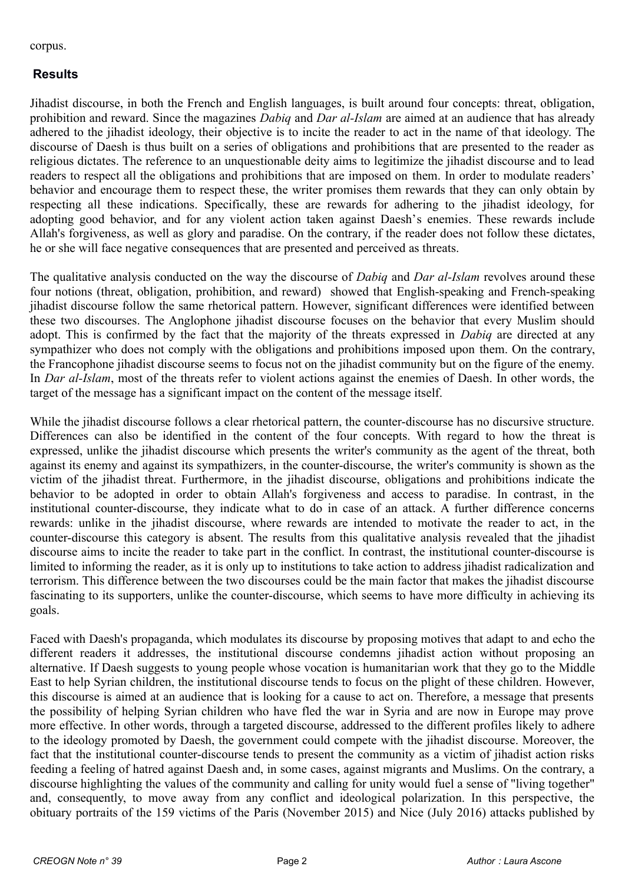corpus.

## **Results**

Jihadist discourse, in both the French and English languages, is built around four concepts: threat, obligation, prohibition and reward. Since the magazines *Dabiq* and *Dar al-Islam* are aimed at an audience that has already adhered to the jihadist ideology, their objective is to incite the reader to act in the name of that ideology. The discourse of Daesh is thus built on a series of obligations and prohibitions that are presented to the reader as religious dictates. The reference to an unquestionable deity aims to legitimize the jihadist discourse and to lead readers to respect all the obligations and prohibitions that are imposed on them. In order to modulate readers' behavior and encourage them to respect these, the writer promises them rewards that they can only obtain by respecting all these indications. Specifically, these are rewards for adhering to the jihadist ideology, for adopting good behavior, and for any violent action taken against Daesh's enemies. These rewards include Allah's forgiveness, as well as glory and paradise. On the contrary, if the reader does not follow these dictates, he or she will face negative consequences that are presented and perceived as threats.

The qualitative analysis conducted on the way the discourse of *Dabiq* and *Dar al-Islam* revolves around these four notions (threat, obligation, prohibition, and reward) showed that English-speaking and French-speaking jihadist discourse follow the same rhetorical pattern. However, significant differences were identified between these two discourses. The Anglophone jihadist discourse focuses on the behavior that every Muslim should adopt. This is confirmed by the fact that the majority of the threats expressed in *Dabiq* are directed at any sympathizer who does not comply with the obligations and prohibitions imposed upon them. On the contrary, the Francophone jihadist discourse seems to focus not on the jihadist community but on the figure of the enemy. In *Dar al-Islam*, most of the threats refer to violent actions against the enemies of Daesh. In other words, the target of the message has a significant impact on the content of the message itself.

While the jihadist discourse follows a clear rhetorical pattern, the counter-discourse has no discursive structure. Differences can also be identified in the content of the four concepts. With regard to how the threat is expressed, unlike the jihadist discourse which presents the writer's community as the agent of the threat, both against its enemy and against its sympathizers, in the counter-discourse, the writer's community is shown as the victim of the jihadist threat. Furthermore, in the jihadist discourse, obligations and prohibitions indicate the behavior to be adopted in order to obtain Allah's forgiveness and access to paradise. In contrast, in the institutional counter-discourse, they indicate what to do in case of an attack. A further difference concerns rewards: unlike in the jihadist discourse, where rewards are intended to motivate the reader to act, in the counter-discourse this category is absent. The results from this qualitative analysis revealed that the jihadist discourse aims to incite the reader to take part in the conflict. In contrast, the institutional counter-discourse is limited to informing the reader, as it is only up to institutions to take action to address jihadist radicalization and terrorism. This difference between the two discourses could be the main factor that makes the jihadist discourse fascinating to its supporters, unlike the counter-discourse, which seems to have more difficulty in achieving its goals.

Faced with Daesh's propaganda, which modulates its discourse by proposing motives that adapt to and echo the different readers it addresses, the institutional discourse condemns jihadist action without proposing an alternative. If Daesh suggests to young people whose vocation is humanitarian work that they go to the Middle East to help Syrian children, the institutional discourse tends to focus on the plight of these children. However, this discourse is aimed at an audience that is looking for a cause to act on. Therefore, a message that presents the possibility of helping Syrian children who have fled the war in Syria and are now in Europe may prove more effective. In other words, through a targeted discourse, addressed to the different profiles likely to adhere to the ideology promoted by Daesh, the government could compete with the jihadist discourse. Moreover, the fact that the institutional counter-discourse tends to present the community as a victim of jihadist action risks feeding a feeling of hatred against Daesh and, in some cases, against migrants and Muslims. On the contrary, a discourse highlighting the values of the community and calling for unity would fuel a sense of "living together" and, consequently, to move away from any conflict and ideological polarization. In this perspective, the obituary portraits of the 159 victims of the Paris (November 2015) and Nice (July 2016) attacks published by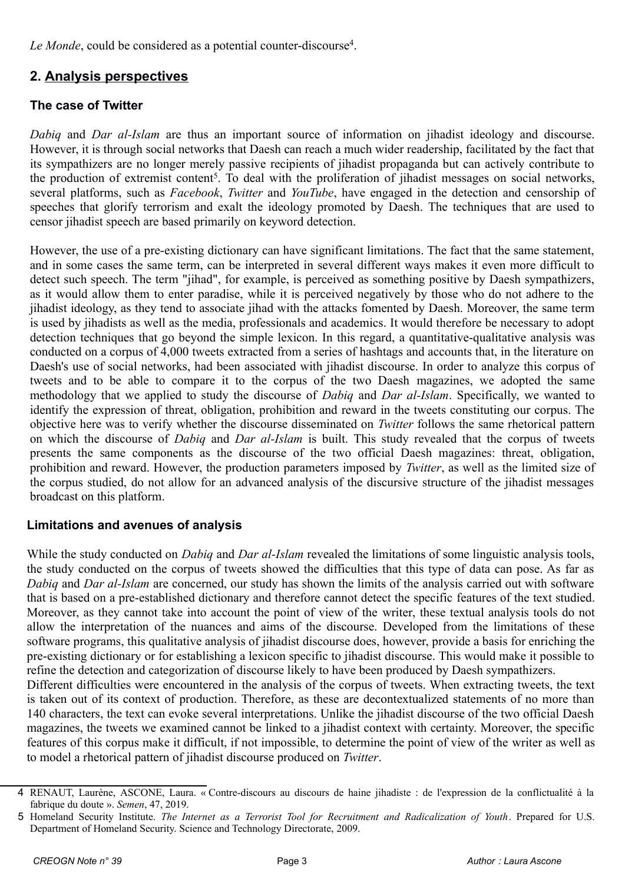Le Monde, could be considered as a potential counter-discourse<sup>[4](#page-2-0)</sup>.

# **2. Analysis perspectives**

# **The case of Twitter**

*Dabiq* and *Dar al-Islam* are thus an important source of information on jihadist ideology and discourse. However, it is through social networks that Daesh can reach a much wider readership, facilitated by the fact that its sympathizers are no longer merely passive recipients of jihadist propaganda but can actively contribute to the production of extremist content<sup>[5](#page-2-1)</sup>. To deal with the proliferation of jihadist messages on social networks, several platforms, such as *Facebook*, *Twitter* and *YouTube*, have engaged in the detection and censorship of speeches that glorify terrorism and exalt the ideology promoted by Daesh. The techniques that are used to censor jihadist speech are based primarily on keyword detection.

However, the use of a pre-existing dictionary can have significant limitations. The fact that the same statement, and in some cases the same term, can be interpreted in several different ways makes it even more difficult to detect such speech. The term "jihad", for example, is perceived as something positive by Daesh sympathizers, as it would allow them to enter paradise, while it is perceived negatively by those who do not adhere to the jihadist ideology, as they tend to associate jihad with the attacks fomented by Daesh. Moreover, the same term is used by jihadists as well as the media, professionals and academics. It would therefore be necessary to adopt detection techniques that go beyond the simple lexicon. In this regard, a quantitative-qualitative analysis was conducted on a corpus of 4,000 tweets extracted from a series of hashtags and accounts that, in the literature on Daesh's use of social networks, had been associated with jihadist discourse. In order to analyze this corpus of tweets and to be able to compare it to the corpus of the two Daesh magazines, we adopted the same methodology that we applied to study the discourse of *Dabiq* and *Dar al-Islam*. Specifically, we wanted to identify the expression of threat, obligation, prohibition and reward in the tweets constituting our corpus. The objective here was to verify whether the discourse disseminated on *Twitter* follows the same rhetorical pattern on which the discourse of *Dabiq* and *Dar al-Islam* is built. This study revealed that the corpus of tweets presents the same components as the discourse of the two official Daesh magazines: threat, obligation, prohibition and reward. However, the production parameters imposed by *Twitter*, as well as the limited size of the corpus studied, do not allow for an advanced analysis of the discursive structure of the jihadist messages broadcast on this platform.

### **Limitations and avenues of analysis**

While the study conducted on *Dabiq* and *Dar al-Islam* revealed the limitations of some linguistic analysis tools, the study conducted on the corpus of tweets showed the difficulties that this type of data can pose. As far as *Dabiq* and *Dar al-Islam* are concerned, our study has shown the limits of the analysis carried out with software that is based on a pre-established dictionary and therefore cannot detect the specific features of the text studied. Moreover, as they cannot take into account the point of view of the writer, these textual analysis tools do not allow the interpretation of the nuances and aims of the discourse. Developed from the limitations of these software programs, this qualitative analysis of jihadist discourse does, however, provide a basis for enriching the pre-existing dictionary or for establishing a lexicon specific to jihadist discourse. This would make it possible to refine the detection and categorization of discourse likely to have been produced by Daesh sympathizers. Different difficulties were encountered in the analysis of the corpus of tweets. When extracting tweets, the text

is taken out of its context of production. Therefore, as these are decontextualized statements of no more than 140 characters, the text can evoke several interpretations. Unlike the jihadist discourse of the two official Daesh magazines, the tweets we examined cannot be linked to a jihadist context with certainty. Moreover, the specific features of this corpus make it difficult, if not impossible, to determine the point of view of the writer as well as to model a rhetorical pattern of jihadist discourse produced on *Twitter*.

<span id="page-2-0"></span><sup>4</sup> RENAUT, Laurène, ASCONE, Laura. « Contre-discours au discours de haine jihadiste : de l'expression de la conflictualité à la fabrique du doute ». *Semen*, 47, 2019.

<span id="page-2-1"></span><sup>5</sup> Homeland Security Institute. *The Internet as a Terrorist Tool for Recruitment and Radicalization of Youth*. Prepared for U.S. Department of Homeland Security. Science and Technology Directorate, 2009.